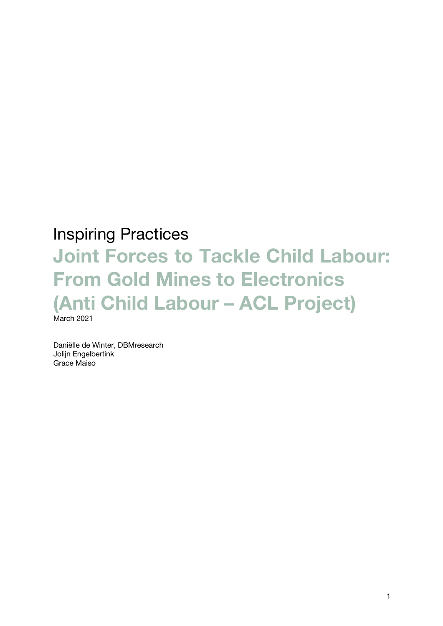## Inspiring Practices

# **Joint Forces to Tackle Child Labour: From Gold Mines to Electronics (Anti Child Labour – ACL Project)**  March 2021

Daniëlle de Winter, DBMresearch Jolijn Engelbertink Grace Maiso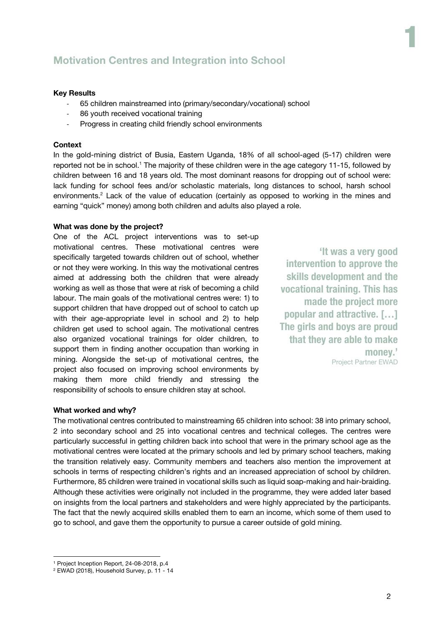### **Motivation Centres and Integration into School**

#### **Key Results**

- 65 children mainstreamed into (primary/secondary/vocational) school
- 86 youth received vocational training
- Progress in creating child friendly school environments

#### **Context**

In the gold-mining district of Busia, Eastern Uganda, 18% of all school-aged (5-17) children were reported not be in school.<sup>1</sup> The majority of these children were in the age category 11-15, followed by children between 16 and 18 years old. The most dominant reasons for dropping out of school were: lack funding for school fees and/or scholastic materials, long distances to school, harsh school environments.<sup>2</sup> Lack of the value of education (certainly as opposed to working in the mines and earning "quick" money) among both children and adults also played a role.

#### **What was done by the project?**

One of the ACL project interventions was to set-up motivational centres. These motivational centres were specifically targeted towards children out of school, whether or not they were working. In this way the motivational centres aimed at addressing both the children that were already working as well as those that were at risk of becoming a child labour. The main goals of the motivational centres were: 1) to support children that have dropped out of school to catch up with their age-appropriate level in school and 2) to help children get used to school again. The motivational centres also organized vocational trainings for older children, to support them in finding another occupation than working in mining. Alongside the set-up of motivational centres, the project also focused on improving school environments by making them more child friendly and stressing the responsibility of schools to ensure children stay at school.

**'It was a very good intervention to approve the skills development and the vocational training. This has made the project more popular and attractive. […] The girls and boys are proud that they are able to make money.'** Project Partner EWAD 1

#### **What worked and why?**

The motivational centres contributed to mainstreaming 65 children into school: 38 into primary school, 2 into secondary school and 25 into vocational centres and technical colleges. The centres were particularly successful in getting children back into school that were in the primary school age as the motivational centres were located at the primary schools and led by primary school teachers, making the transition relatively easy. Community members and teachers also mention the improvement at schools in terms of respecting children's rights and an increased appreciation of school by children. Furthermore, 85 children were trained in vocational skills such as liquid soap-making and hair-braiding. Although these activities were originally not included in the programme, they were added later based on insights from the local partners and stakeholders and were highly appreciated by the participants. The fact that the newly acquired skills enabled them to earn an income, which some of them used to go to school, and gave them the opportunity to pursue a career outside of gold mining.

<sup>1</sup> Project Inception Report, 24-08-2018, p.4

<sup>2</sup> EWAD (2018), Household Survey, p. 11 - 14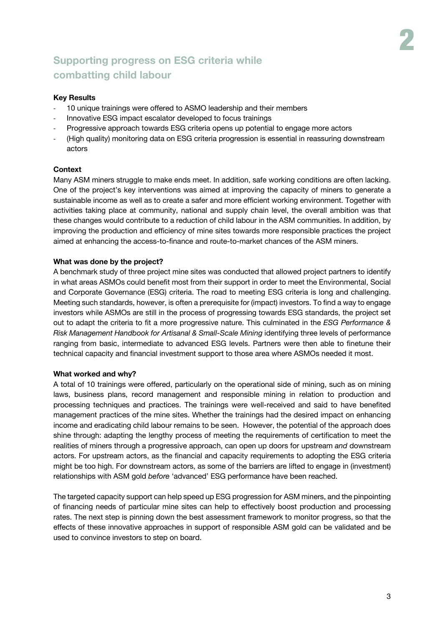## **Supporting progress on ESG criteria while combatting child labour**

#### **Key Results**

- 10 unique trainings were offered to ASMO leadership and their members
- Innovative ESG impact escalator developed to focus trainings
- Progressive approach towards ESG criteria opens up potential to engage more actors
- (High quality) monitoring data on ESG criteria progression is essential in reassuring downstream actors

#### **Context**

Many ASM miners struggle to make ends meet. In addition, safe working conditions are often lacking. One of the project's key interventions was aimed at improving the capacity of miners to generate a sustainable income as well as to create a safer and more efficient working environment. Together with activities taking place at community, national and supply chain level, the overall ambition was that these changes would contribute to a reduction of child labour in the ASM communities. In addition, by improving the production and efficiency of mine sites towards more responsible practices the project aimed at enhancing the access-to-finance and route-to-market chances of the ASM miners.

#### **What was done by the project?**

A benchmark study of three project mine sites was conducted that allowed project partners to identify in what areas ASMOs could benefit most from their support in order to meet the Environmental, Social and Corporate Governance (ESG) criteria. The road to meeting ESG criteria is long and challenging. Meeting such standards, however, is often a prerequisite for (impact) investors. To find a way to engage investors while ASMOs are still in the process of progressing towards ESG standards, the project set out to adapt the criteria to fit a more progressive nature. This culminated in the *ESG Performance & Risk Management Handbook for Artisanal & Small-Scale Mining* identifying three levels of performance ranging from basic, intermediate to advanced ESG levels. Partners were then able to finetune their technical capacity and financial investment support to those area where ASMOs needed it most.

#### **What worked and why?**

A total of 10 trainings were offered, particularly on the operational side of mining, such as on mining laws, business plans, record management and responsible mining in relation to production and processing techniques and practices. The trainings were well-received and said to have benefited management practices of the mine sites. Whether the trainings had the desired impact on enhancing income and eradicating child labour remains to be seen. However, the potential of the approach does shine through: adapting the lengthy process of meeting the requirements of certification to meet the realities of miners through a progressive approach, can open up doors for upstream *and* downstream actors. For upstream actors, as the financial and capacity requirements to adopting the ESG criteria might be too high. For downstream actors, as some of the barriers are lifted to engage in (investment) relationships with ASM gold *before* 'advanced' ESG performance have been reached.

The targeted capacity support can help speed up ESG progression for ASM miners, and the pinpointing of financing needs of particular mine sites can help to effectively boost production and processing rates. The next step is pinning down the best assessment framework to monitor progress, so that the effects of these innovative approaches in support of responsible ASM gold can be validated and be used to convince investors to step on board.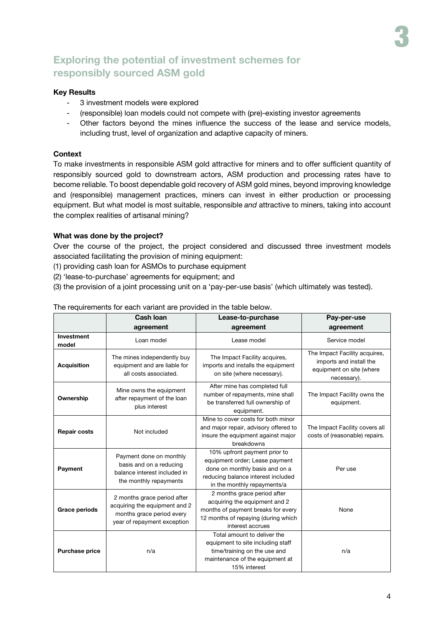## **Exploring the potential of investment schemes for responsibly sourced ASM gold**

#### **Key Results**

- 3 investment models were explored
- (responsible) loan models could not compete with (pre)-existing investor agreements
- Other factors beyond the mines influence the success of the lease and service models, including trust, level of organization and adaptive capacity of miners.

#### **Context**

To make investments in responsible ASM gold attractive for miners and to offer sufficient quantity of responsibly sourced gold to downstream actors, ASM production and processing rates have to become reliable. To boost dependable gold recovery of ASM gold mines, beyond improving knowledge and (responsible) management practices, miners can invest in either production or processing equipment. But what model is most suitable, responsible *and* attractive to miners, taking into account the complex realities of artisanal mining?

#### **What was done by the project?**

Over the course of the project, the project considered and discussed three investment models associated facilitating the provision of mining equipment:

(1) providing cash loan for ASMOs to purchase equipment

- (2) 'lease-to-purchase' agreements for equipment; and
- (3) the provision of a joint processing unit on a 'pay-per-use basis' (which ultimately was tested).

|                            | Cash Ioan                                                                                                                | Lease-to-purchase                                                                                                                                                     | Pay-per-use                                                                                         |
|----------------------------|--------------------------------------------------------------------------------------------------------------------------|-----------------------------------------------------------------------------------------------------------------------------------------------------------------------|-----------------------------------------------------------------------------------------------------|
|                            | agreement                                                                                                                | agreement                                                                                                                                                             | agreement                                                                                           |
| <b>Investment</b><br>model | Loan model                                                                                                               | Lease model                                                                                                                                                           | Service model                                                                                       |
| <b>Acquisition</b>         | The mines independently buy<br>equipment and are liable for<br>all costs associated.                                     | The Impact Facility acquires,<br>imports and installs the equipment<br>on site (where necessary).                                                                     | The Impact Facility acquires,<br>imports and install the<br>equipment on site (where<br>necessary). |
| Ownership                  | Mine owns the equipment<br>after repayment of the loan<br>plus interest                                                  | After mine has completed full<br>number of repayments, mine shall<br>be transferred full ownership of<br>equipment.                                                   | The Impact Facility owns the<br>equipment.                                                          |
| <b>Repair costs</b>        | Not included                                                                                                             | Mine to cover costs for both minor<br>and major repair, advisory offered to<br>insure the equipment against major<br>breakdowns                                       | The Impact Facility covers all<br>costs of (reasonable) repairs.                                    |
| Payment                    | Payment done on monthly<br>basis and on a reducing<br>balance interest included in<br>the monthly repayments             | 10% upfront payment prior to<br>equipment order; Lease payment<br>done on monthly basis and on a<br>reducing balance interest included<br>in the monthly repayments/a | Per use                                                                                             |
| <b>Grace periods</b>       | 2 months grace period after<br>acquiring the equipment and 2<br>months grace period every<br>year of repayment exception | 2 months grace period after<br>acquiring the equipment and 2<br>months of payment breaks for every<br>12 months of repaying (during which<br>interest accrues         | None                                                                                                |
| <b>Purchase price</b>      | n/a                                                                                                                      | Total amount to deliver the<br>equipment to site including staff<br>time/training on the use and<br>maintenance of the equipment at<br>15% interest                   | n/a                                                                                                 |

#### The requirements for each variant are provided in the table below.

3